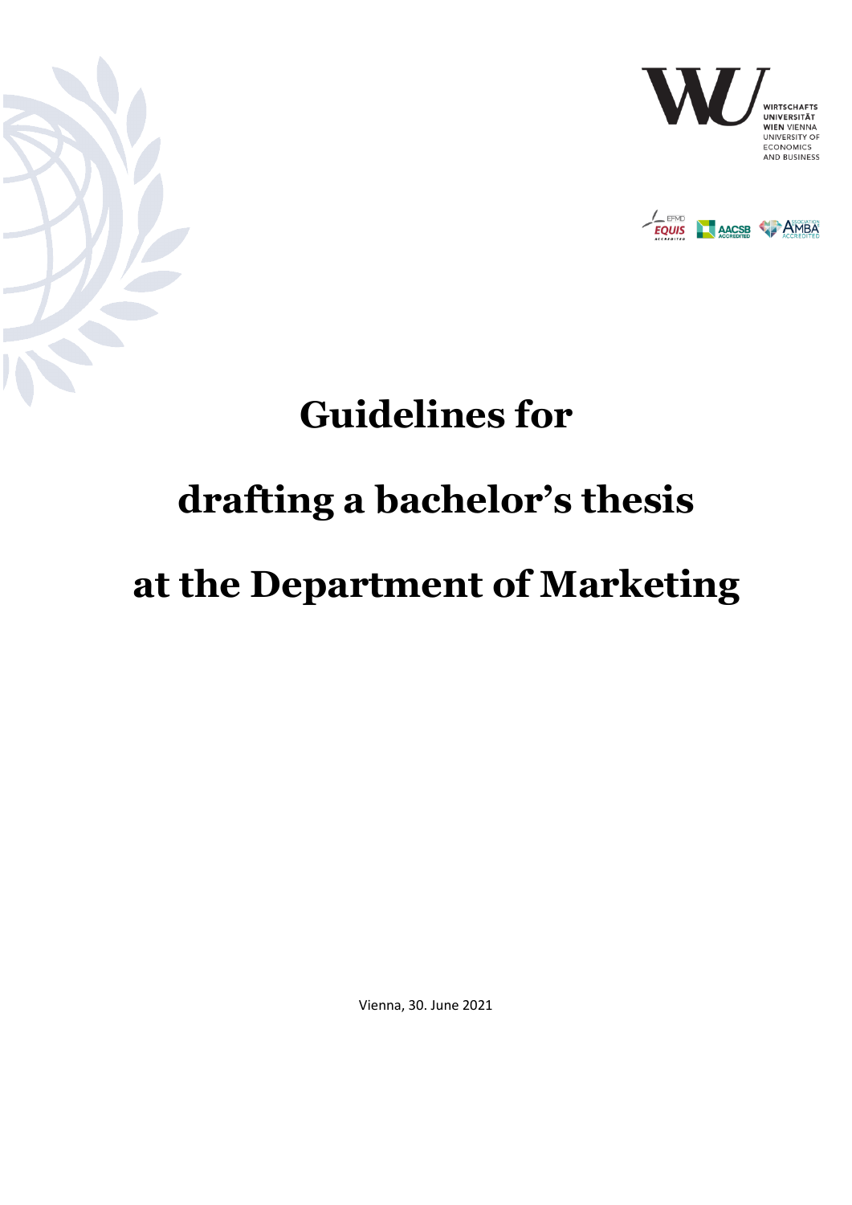





## **Guidelines for**

# **drafting a bachelor's thesis**

## **at the Department of Marketing**

Vienna, 30. June 2021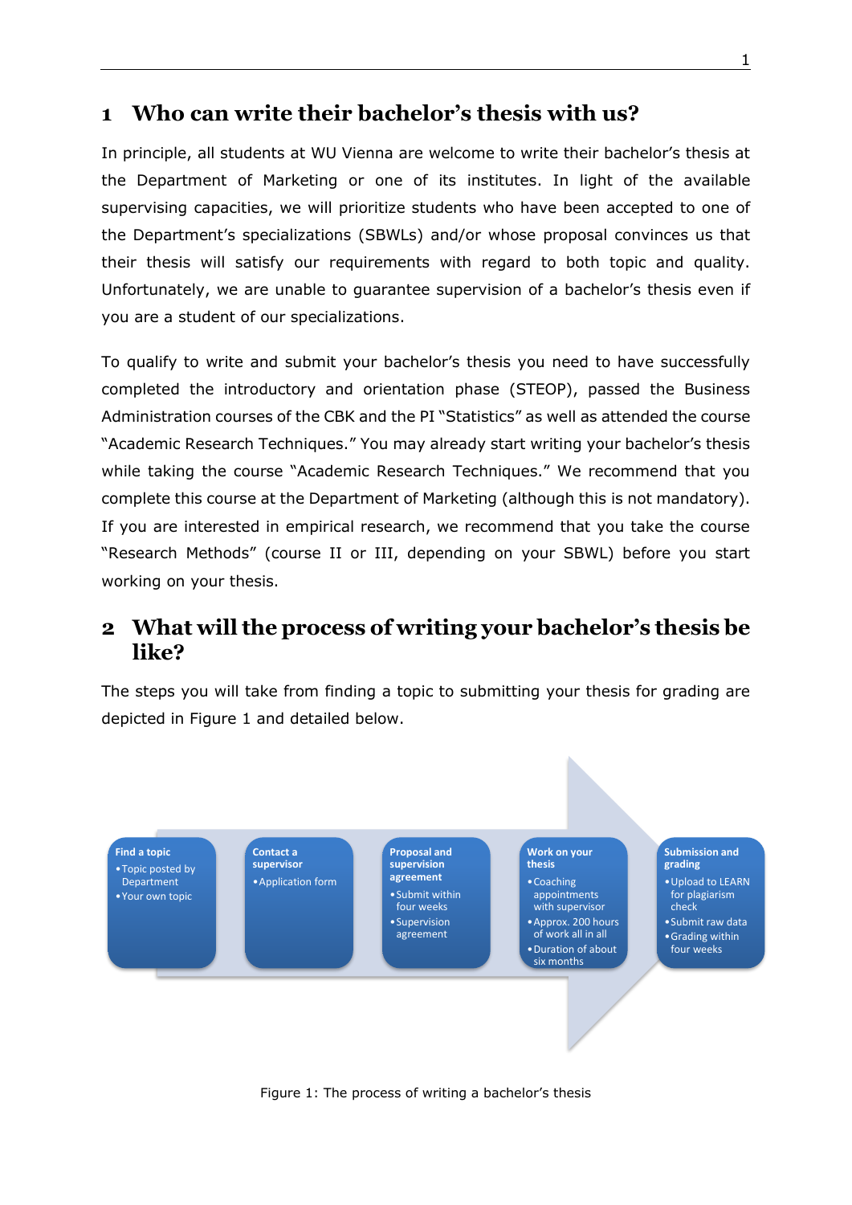### **1 Who can write their bachelor's thesis with us?**

In principle, all students at WU Vienna are welcome to write their bachelor's thesis at the Department of Marketing or one of its institutes. In light of the available supervising capacities, we will prioritize students who have been accepted to one of the Department's specializations (SBWLs) and/or whose proposal convinces us that their thesis will satisfy our requirements with regard to both topic and quality. Unfortunately, we are unable to guarantee supervision of a bachelor's thesis even if you are a student of our specializations.

To qualify to write and submit your bachelor's thesis you need to have successfully completed the introductory and orientation phase (STEOP), passed the Business Administration courses of the CBK and the PI "Statistics" as well as attended the course "Academic Research Techniques." You may already start writing your bachelor's thesis while taking the course "Academic Research Techniques." We recommend that you complete this course at the Department of Marketing (although this is not mandatory). If you are interested in empirical research, we recommend that you take the course "Research Methods" (course II or III, depending on your SBWL) before you start working on your thesis.

## **2 What will the process of writing your bachelor's thesis be like?**

The steps you will take from finding a topic to submitting your thesis for grading are depicted in Figure 1 and detailed below.



Figure 1: The process of writing a bachelor's thesis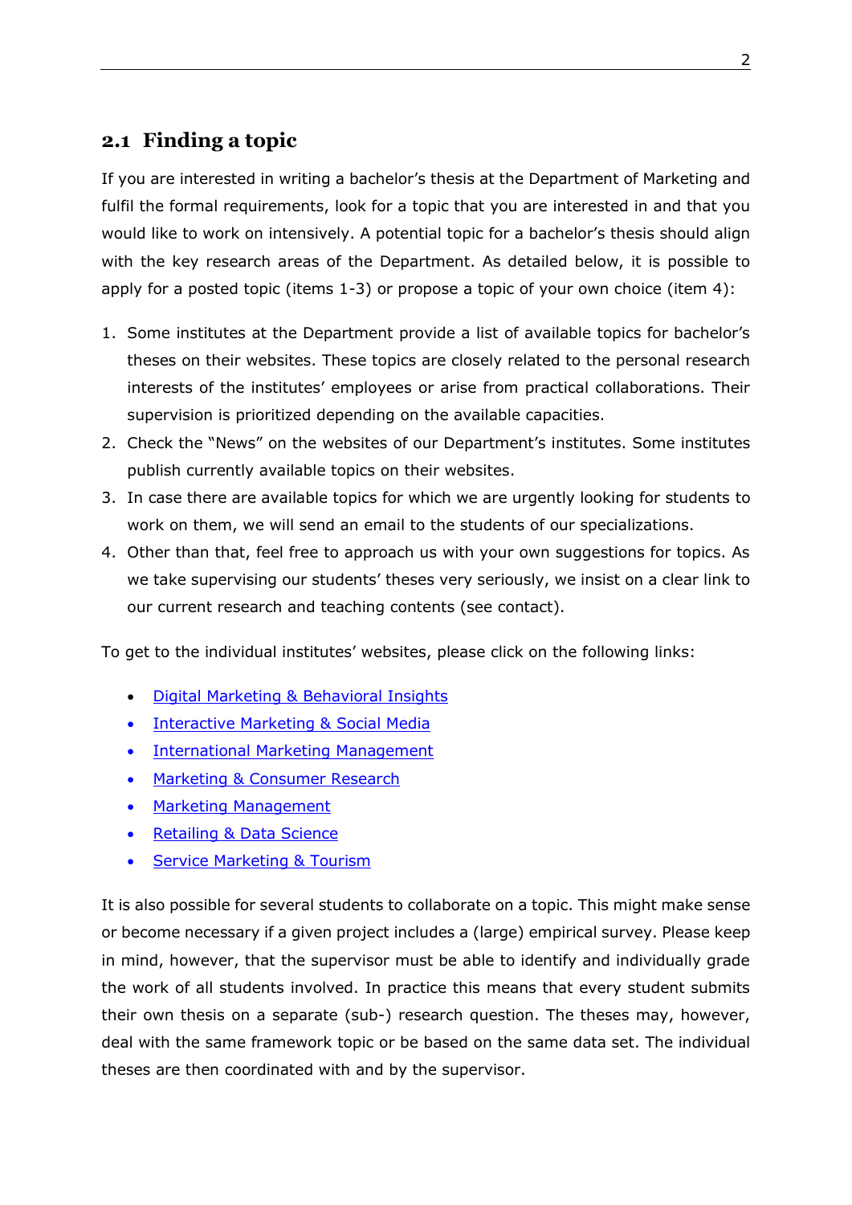#### **2.1 Finding a topic**

If you are interested in writing a bachelor's thesis at the Department of Marketing and fulfil the formal requirements, look for a topic that you are interested in and that you would like to work on intensively. A potential topic for a bachelor's thesis should align with the key research areas of the Department. As detailed below, it is possible to apply for a posted topic (items 1-3) or propose a topic of your own choice (item 4):

- 1. Some institutes at the Department provide a list of available topics for bachelor's theses on their websites. These topics are closely related to the personal research interests of the institutes' employees or arise from practical collaborations. Their supervision is prioritized depending on the available capacities.
- 2. Check the "News" on the websites of our Department's institutes. Some institutes publish currently available topics on their websites.
- 3. In case there are available topics for which we are urgently looking for students to work on them, we will send an email to the students of our specializations.
- 4. Other than that, feel free to approach us with your own suggestions for topics. As we take supervising our students' theses very seriously, we insist on a clear link to our current research and teaching contents (see contact).

To get to the individual institutes' websites, please click on the following links:

- [Digital Marketing & Behavioral Insights](https://www.wu.ac.at/digital)
- [Interactive Marketing & Social Media](https://www.wu.ac.at/en/imsm/teaching/sbwl-service-digital-marketing/bachelor-thesis-topics)
- [International Marketing](https://www.wu.ac.at/en/imm/student-platform/bachelor/paper) Management
- [Marketing & Consumer Research](https://www.wu.ac.at/mcore/teaching/bachelor/bachelorarbeit)
- [Marketing Management](https://www.wu.ac.at/en/institute-for-marketing-management/teaching/bachelor-thesis)
- Retailing & [Data Science](https://www.wu.ac.at/en/retail)
- [Service Marketing & Tourism](https://www.wu.ac.at/sm/students-point/aktuelle-themen-fuer-die-bachelor-masterarbeit)

It is also possible for several students to collaborate on a topic. This might make sense or become necessary if a given project includes a (large) empirical survey. Please keep in mind, however, that the supervisor must be able to identify and individually grade the work of all students involved. In practice this means that every student submits their own thesis on a separate (sub-) research question. The theses may, however, deal with the same framework topic or be based on the same data set. The individual theses are then coordinated with and by the supervisor.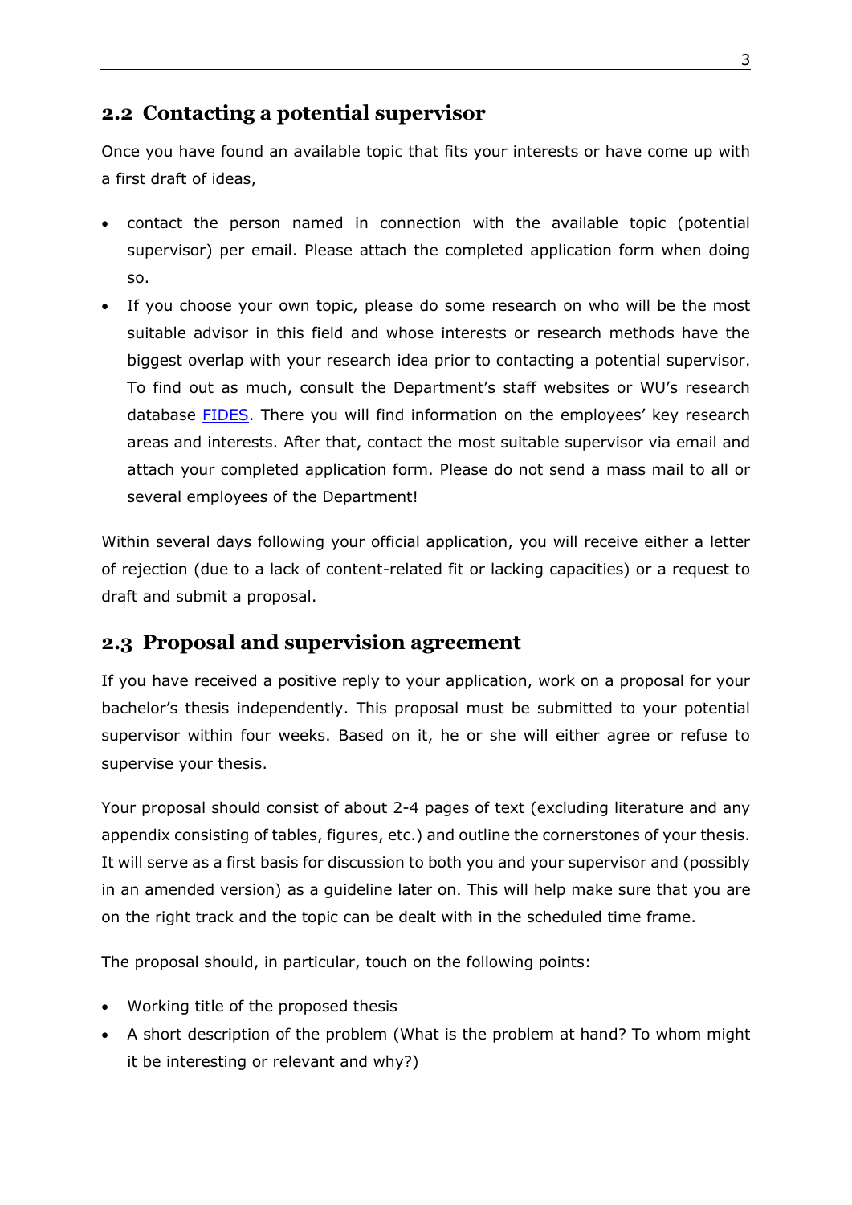#### **2.2 Contacting a potential supervisor**

Once you have found an available topic that fits your interests or have come up with a first draft of ideas,

- contact the person named in connection with the available topic (potential supervisor) per email. Please attach the completed application form when doing so.
- If you choose your own topic, please do some research on who will be the most suitable advisor in this field and whose interests or research methods have the biggest overlap with your research idea prior to contacting a potential supervisor. To find out as much, consult the Department's staff websites or WU's research database [FIDES](https://bach.wu.ac.at/d/research/organization/3798/). There you will find information on the employees' key research areas and interests. After that, contact the most suitable supervisor via email and attach your completed application form. Please do not send a mass mail to all or several employees of the Department!

Within several days following your official application, you will receive either a letter of rejection (due to a lack of content-related fit or lacking capacities) or a request to draft and submit a proposal.

#### **2.3 Proposal and supervision agreement**

If you have received a positive reply to your application, work on a proposal for your bachelor's thesis independently. This proposal must be submitted to your potential supervisor within four weeks. Based on it, he or she will either agree or refuse to supervise your thesis.

Your proposal should consist of about 2-4 pages of text (excluding literature and any appendix consisting of tables, figures, etc.) and outline the cornerstones of your thesis. It will serve as a first basis for discussion to both you and your supervisor and (possibly in an amended version) as a guideline later on. This will help make sure that you are on the right track and the topic can be dealt with in the scheduled time frame.

The proposal should, in particular, touch on the following points:

- Working title of the proposed thesis
- A short description of the problem (What is the problem at hand? To whom might it be interesting or relevant and why?)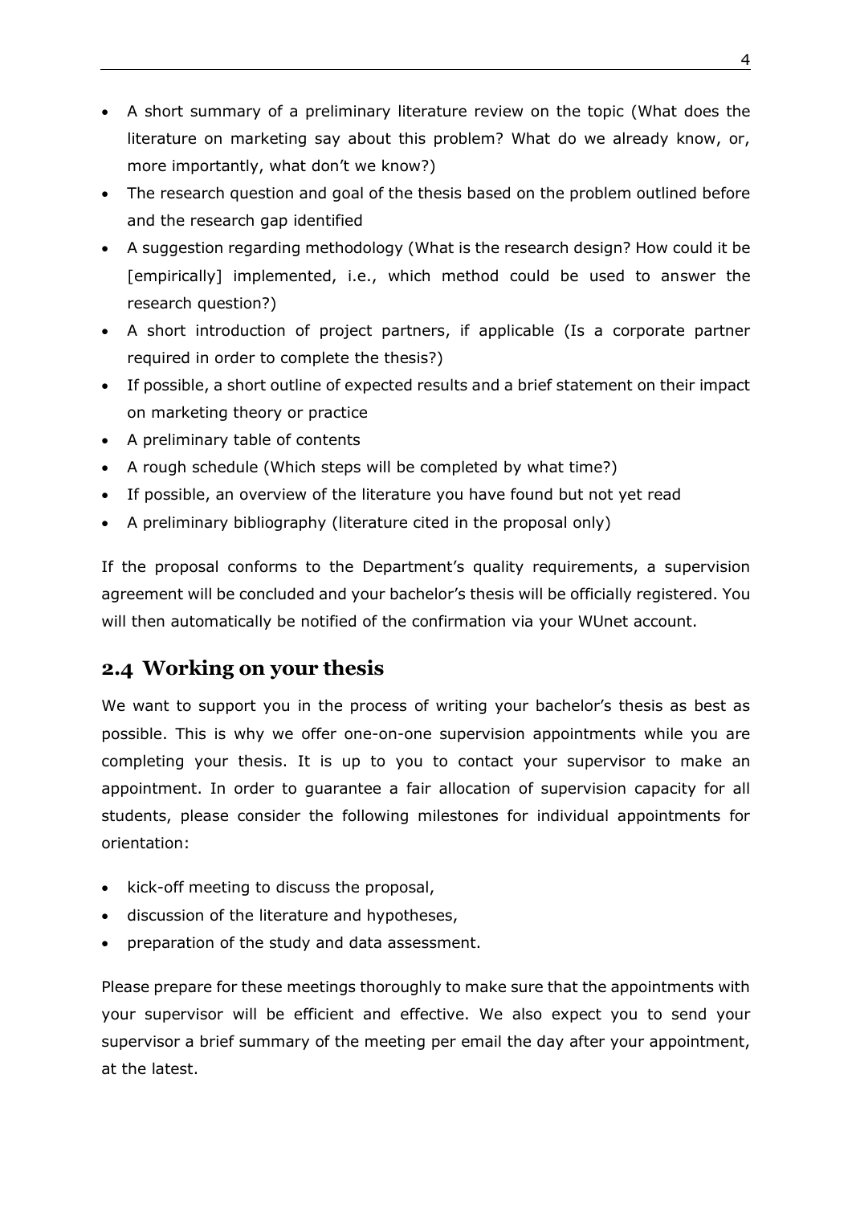- A short summary of a preliminary literature review on the topic (What does the literature on marketing say about this problem? What do we already know, or, more importantly, what don't we know?)
- The research question and goal of the thesis based on the problem outlined before and the research gap identified
- A suggestion regarding methodology (What is the research design? How could it be [empirically] implemented, i.e., which method could be used to answer the research question?)
- A short introduction of project partners, if applicable (Is a corporate partner required in order to complete the thesis?)
- If possible, a short outline of expected results and a brief statement on their impact on marketing theory or practice
- A preliminary table of contents
- A rough schedule (Which steps will be completed by what time?)
- If possible, an overview of the literature you have found but not yet read
- A preliminary bibliography (literature cited in the proposal only)

If the proposal conforms to the Department's quality requirements, a supervision agreement will be concluded and your bachelor's thesis will be officially registered. You will then automatically be notified of the confirmation via your WUnet account.

#### **2.4 Working on your thesis**

We want to support you in the process of writing your bachelor's thesis as best as possible. This is why we offer one-on-one supervision appointments while you are completing your thesis. It is up to you to contact your supervisor to make an appointment. In order to guarantee a fair allocation of supervision capacity for all students, please consider the following milestones for individual appointments for orientation:

- kick-off meeting to discuss the proposal,
- discussion of the literature and hypotheses,
- preparation of the study and data assessment.

Please prepare for these meetings thoroughly to make sure that the appointments with your supervisor will be efficient and effective. We also expect you to send your supervisor a brief summary of the meeting per email the day after your appointment, at the latest.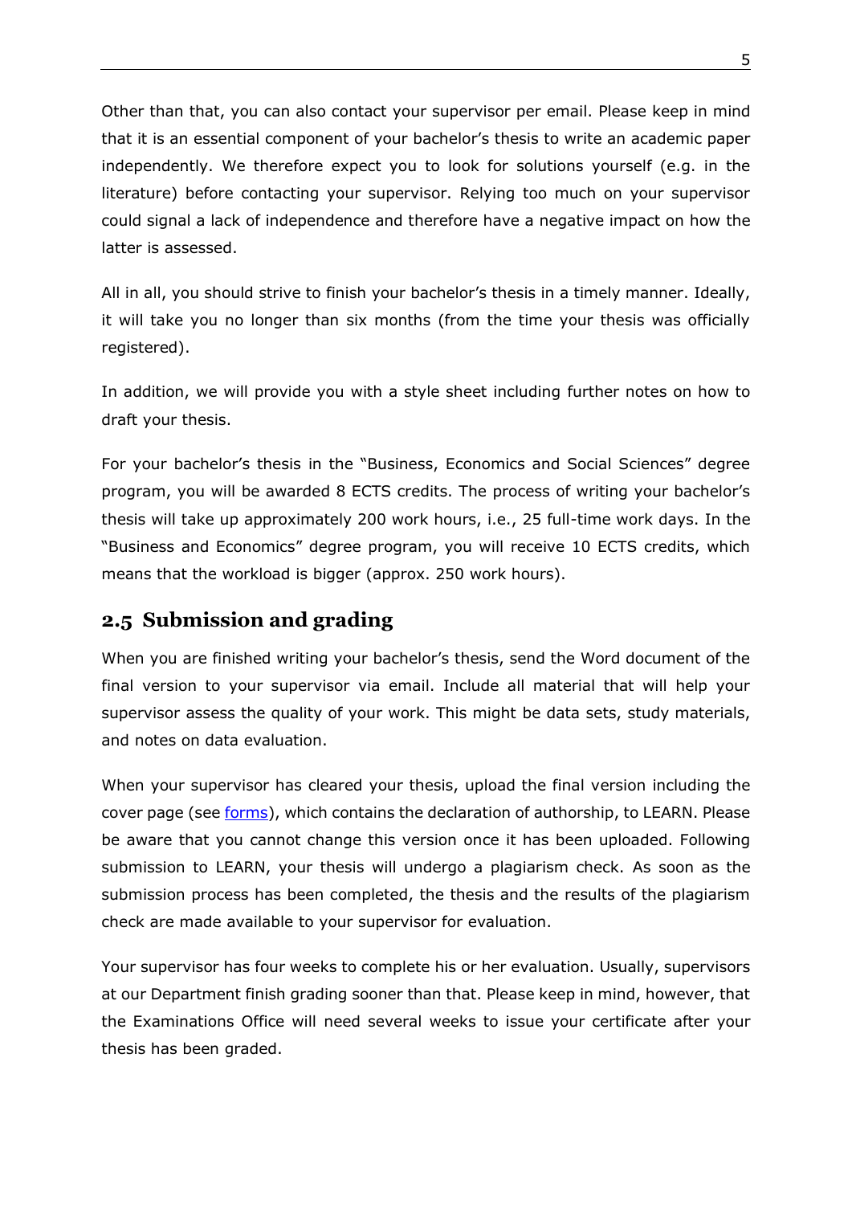Other than that, you can also contact your supervisor per email. Please keep in mind that it is an essential component of your bachelor's thesis to write an academic paper independently. We therefore expect you to look for solutions yourself (e.g. in the literature) before contacting your supervisor. Relying too much on your supervisor could signal a lack of independence and therefore have a negative impact on how the latter is assessed.

All in all, you should strive to finish your bachelor's thesis in a timely manner. Ideally, it will take you no longer than six months (from the time your thesis was officially registered).

In addition, we will provide you with a style sheet including further notes on how to draft your thesis.

For your bachelor's thesis in the "Business, Economics and Social Sciences" degree program, you will be awarded 8 ECTS credits. The process of writing your bachelor's thesis will take up approximately 200 work hours, i.e., 25 full-time work days. In the "Business and Economics" degree program, you will receive 10 ECTS credits, which means that the workload is bigger (approx. 250 work hours).

#### **2.5 Submission and grading**

When you are finished writing your bachelor's thesis, send the Word document of the final version to your supervisor via email. Include all material that will help your supervisor assess the quality of your work. This might be data sets, study materials, and notes on data evaluation.

When your supervisor has cleared your thesis, upload the final version including the cover page (see [forms\)](https://www.wu.ac.at/en/students/my-program/bachelors-student-guide/bachelors-thesis), which contains the declaration of authorship, to LEARN. Please be aware that you cannot change this version once it has been uploaded. Following submission to LEARN, your thesis will undergo a plagiarism check. As soon as the submission process has been completed, the thesis and the results of the plagiarism check are made available to your supervisor for evaluation.

Your supervisor has four weeks to complete his or her evaluation. Usually, supervisors at our Department finish grading sooner than that. Please keep in mind, however, that the Examinations Office will need several weeks to issue your certificate after your thesis has been graded.